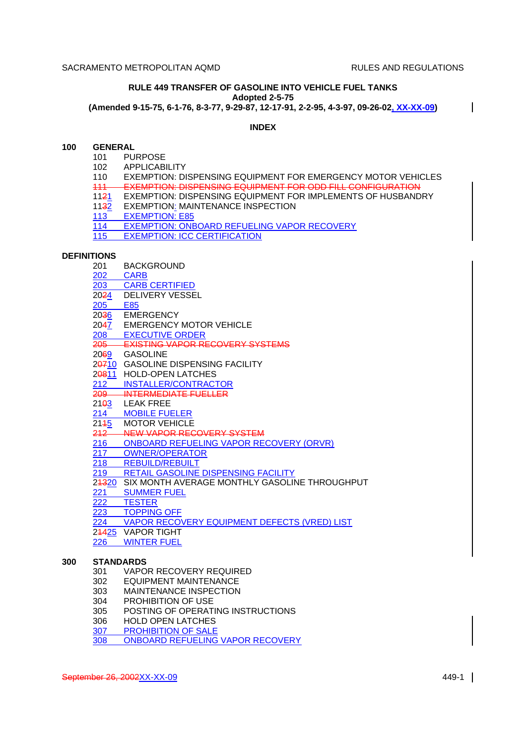H

#### **RULE 449 TRANSFER OF GASOLINE INTO VEHICLE FUEL TANKS Adopted 2-5-75 (Amended 9-15-75, 6-1-76, 8-3-77, 9-29-87, 12-17-91, 2-2-95, 4-3-97, 09-26-02, XX-XX-09)**

### **INDEX**

#### **100 GENERAL**

- 101 PURPOSE
- 102 APPLICABILITY
- 110 EXEMPTION: DISPENSING EQUIPMENT FOR EMERGENCY MOTOR VEHICLES
- 111 EXEMPTION: DISPENSING EQUIPMENT FOR ODD FILL CONFIGURATION
- 1121 EXEMPTION: DISPENSING EQUIPMENT FOR IMPLEMENTS OF HUSBANDRY
- 1132 EXEMPTION: MAINTENANCE INSPECTION
- 113 EXEMPTION: E85
- 114 EXEMPTION: ONBOARD REFUELING VAPOR RECOVERY
- 115 EXEMPTION: ICC CERTIFICATION

#### **DEFINITIONS**

- 201 BACKGROUND
- 202 CARB
- 203 CARB CERTIFIED
- 2024 DELIVERY VESSEL
- 205 E85<br>20<del>3</del>6 EME
- **EMERGENCY**
- 2047 EMERGENCY MOTOR VEHICLE
- 208 EXECUTIVE ORDER
- 205 EXISTING VAPOR RECOVERY SYSTEMS
- 2069 GASOLINE
- 20710 GASOLINE DISPENSING FACILITY
- 20811 HOLD-OPEN LATCHES
- 212 INSTALLER/CONTRACTOR
- 209 INTERMEDIATE FUELLER
- 21<sup>03</sup> LEAK FREE
- 214 MOBILE FUELER<br>2145 MOTOR VEHICLE
- **MOTOR VEHICLE**
- 212 NEW VAPOR RECOVERY SYSTEM<br>216 ONBOARD REFUELING VAPOR RE
- 216 ONBOARD REFUELING VAPOR RECOVERY (ORVR)<br>217 OWNER/OPERATOR<br>218 REBUILD/REBUILT
- OWNER/OPERATOR
- 218 REBUILD/REBUILT<br>219 RETAIL GASOLINE
- 219 RETAIL GASOLINE DISPENSING FACILITY<br>24320 SIX MONTH AVERAGE MONTHLY GASOLIN
- SIX MONTH AVERAGE MONTHLY GASOLINE THROUGHPUT
- 221 SUMMER FUEL<br>222 TESTER
- 222 TESTER<br>223 TOPPING
- **TOPPING OFF**
- 224 VAPOR RECOVERY EQUIPMENT DEFECTS (VRED) LIST
- 24425 VAPOR TIGHT
- 226 WINTER FUEL

### **300 STANDARDS**

- 301 VAPOR RECOVERY REQUIRED
- 302 EQUIPMENT MAINTENANCE
- 303 MAINTENANCE INSPECTION
- 304 PROHIBITION OF USE
- 305 POSTING OF OPERATING INSTRUCTIONS
- 306 HOLD OPEN LATCHES
- 307 PROHIBITION OF SALE
- 308 ONBOARD REFUELING VAPOR RECOVERY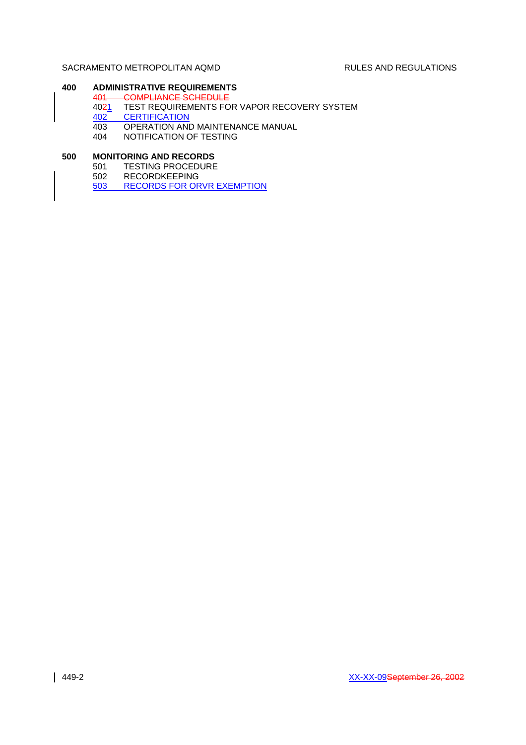# **400 ADMINISTRATIVE REQUIREMENTS**

- 401 COMPLIANCE SCHEDULE
- 4021 TEST REQUIREMENTS FOR VAPOR RECOVERY SYSTEM
- 402 CERTIFICATION
- 403 OPERATION AND MAINTENANCE MANUAL
- 404 NOTIFICATION OF TESTING

# **500 MONITORING AND RECORDS**

- 501 TESTING PROCEDURE
	- 502 RECORDKEEPING
	- 503 RECORDS FOR ORVR EXEMPTION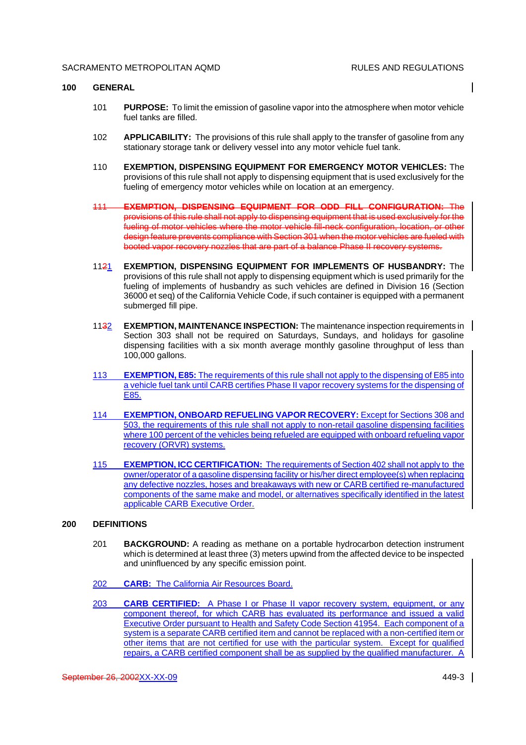#### **100 GENERAL**

- 101 **PURPOSE:** To limit the emission of gasoline vapor into the atmosphere when motor vehicle fuel tanks are filled.
- 102 **APPLICABILITY:** The provisions of this rule shall apply to the transfer of gasoline from any stationary storage tank or delivery vessel into any motor vehicle fuel tank.
- 110 **EXEMPTION, DISPENSING EQUIPMENT FOR EMERGENCY MOTOR VEHICLES:** The provisions of this rule shall not apply to dispensing equipment that is used exclusively for the fueling of emergency motor vehicles while on location at an emergency.
- 111 **EXEMPTION, DISPENSING EQUIPMENT FOR ODD FILL CONFIGURATION:** The provisions of this rule shall not apply to dispensing equipment that is used exclusively for the fueling of motor vehicles where the motor vehicle fill-neck configuration, location, or other design feature prevents compliance with Section 301 when the motor vehicles are fueled with booted vapor recovery nozzles that are part of a balance Phase II recovery systems.
- 1121 **EXEMPTION, DISPENSING EQUIPMENT FOR IMPLEMENTS OF HUSBANDRY:** The provisions of this rule shall not apply to dispensing equipment which is used primarily for the fueling of implements of husbandry as such vehicles are defined in Division 16 (Section 36000 et seq) of the California Vehicle Code, if such container is equipped with a permanent submerged fill pipe.
- 1132 **EXEMPTION, MAINTENANCE INSPECTION:** The maintenance inspection requirements in Section 303 shall not be required on Saturdays, Sundays, and holidays for gasoline dispensing facilities with a six month average monthly gasoline throughput of less than 100,000 gallons.
- 113 **EXEMPTION, E85:** The requirements of this rule shall not apply to the dispensing of E85 into a vehicle fuel tank until CARB certifies Phase II vapor recovery systems for the dispensing of E85.
- 114 **EXEMPTION, ONBOARD REFUELING VAPOR RECOVERY:** Except for Sections 308 and 503, the requirements of this rule shall not apply to non-retail gasoline dispensing facilities where 100 percent of the vehicles being refueled are equipped with onboard refueling vapor recovery (ORVR) systems.
- 115 **EXEMPTION, ICC CERTIFICATION:** The requirements of Section 402 shall not apply to the owner/operator of a gasoline dispensing facility or his/her direct employee(s) when replacing any defective nozzles, hoses and breakaways with new or CARB certified re-manufactured components of the same make and model, or alternatives specifically identified in the latest applicable CARB Executive Order.

#### **200 DEFINITIONS**

- 201 **BACKGROUND:** A reading as methane on a portable hydrocarbon detection instrument which is determined at least three (3) meters upwind from the affected device to be inspected and uninfluenced by any specific emission point.
- 202 **CARB:** The California Air Resources Board.
- 203 **CARB CERTIFIED:** A Phase I or Phase II vapor recovery system, equipment, or any component thereof, for which CARB has evaluated its performance and issued a valid Executive Order pursuant to Health and Safety Code Section 41954. Each component of a system is a separate CARB certified item and cannot be replaced with a non-certified item or other items that are not certified for use with the particular system. Except for qualified repairs, a CARB certified component shall be as supplied by the qualified manufacturer. A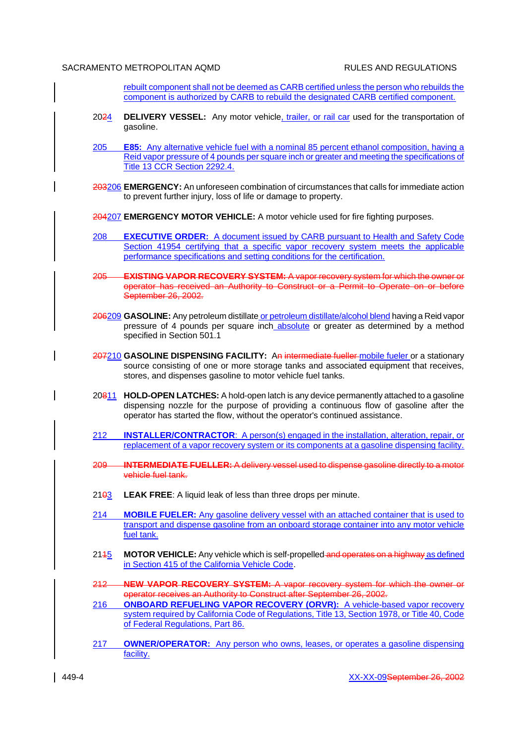rebuilt component shall not be deemed as CARB certified unless the person who rebuilds the component is authorized by CARB to rebuild the designated CARB certified component.

- 2024 **DELIVERY VESSEL:** Any motor vehicle, trailer, or rail car used for the transportation of gasoline.
- 205 **E85:** Any alternative vehicle fuel with a nominal 85 percent ethanol composition, having a Reid vapor pressure of 4 pounds per square inch or greater and meeting the specifications of Title 13 CCR Section 2292.4.
- 203206 **EMERGENCY:** An unforeseen combination of circumstances that calls for immediate action to prevent further injury, loss of life or damage to property.
- 204207 **EMERGENCY MOTOR VEHICLE:** A motor vehicle used for fire fighting purposes.
- 208 **EXECUTIVE ORDER:** A document issued by CARB pursuant to Health and Safety Code Section 41954 certifying that a specific vapor recovery system meets the applicable performance specifications and setting conditions for the certification.
- 205 **EXISTING VAPOR RECOVERY SYSTEM:** A vapor recovery system for which the owner or operator has received an Authority to Construct or a Permit to Operate on or before September 26, 2002.
- 206209 **GASOLINE:** Any petroleum distillate or petroleum distillate/alcohol blend having a Reid vapor pressure of 4 pounds per square inch absolute or greater as determined by a method specified in Section 501.1
- 207210 **GASOLINE DISPENSING FACILITY:** An intermediate fueller mobile fueler or a stationary source consisting of one or more storage tanks and associated equipment that receives, stores, and dispenses gasoline to motor vehicle fuel tanks.
- 20811 **HOLD-OPEN LATCHES:** A hold-open latch is any device permanently attached to a gasoline dispensing nozzle for the purpose of providing a continuous flow of gasoline after the operator has started the flow, without the operator's continued assistance.
- 212 **INSTALLER/CONTRACTOR**: A person(s) engaged in the installation, alteration, repair, or replacement of a vapor recovery system or its components at a gasoline dispensing facility.
- 209 **INTERMEDIATE FUELLER:** A delivery vessel used to dispense gasoline directly to a motor vehicle fuel tank.
- 2103 **LEAK FREE**: A liquid leak of less than three drops per minute.
- 214 **MOBILE FUELER:** Any gasoline delivery vessel with an attached container that is used to transport and dispense gasoline from an onboard storage container into any motor vehicle fuel tank.
- 2145 MOTOR VEHICLE: Any vehicle which is self-propelled and operates on a highway as defined in Section 415 of the California Vehicle Code.
- 212 **NEW VAPOR RECOVERY SYSTEM:** A vapor recovery system for which the owner or operator receives an Authority to Construct after September 26, 2002.
- 216 **ONBOARD REFUELING VAPOR RECOVERY (ORVR):** A vehicle-based vapor recovery system required by California Code of Regulations, Title 13, Section 1978, or Title 40, Code of Federal Regulations, Part 86.
- 217 **OWNER/OPERATOR:** Any person who owns, leases, or operates a gasoline dispensing facility.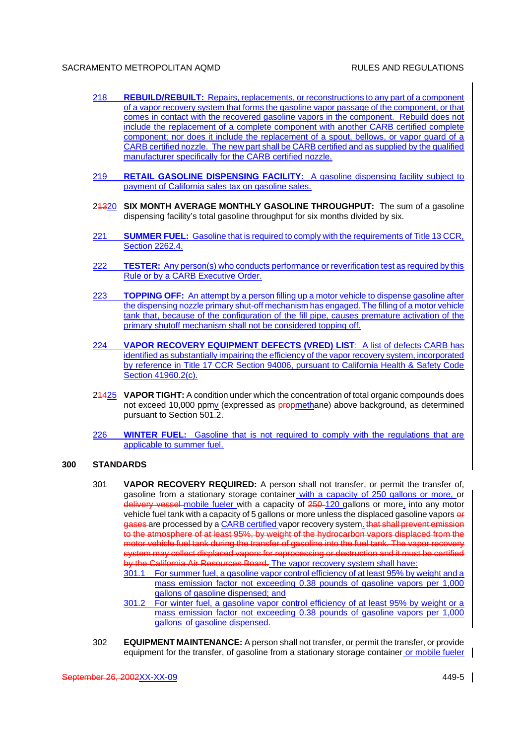- 218 **REBUILD/REBUILT:** Repairs, replacements, or reconstructions to any part of a component of a vapor recovery system that forms the gasoline vapor passage of the component, or that comes in contact with the recovered gasoline vapors in the component. Rebuild does not include the replacement of a complete component with another CARB certified complete component; nor does it include the replacement of a spout, bellows, or vapor guard of a CARB certified nozzle. The new part shall be CARB certified and as supplied by the qualified manufacturer specifically for the CARB certified nozzle.
- 219 **RETAIL GASOLINE DISPENSING FACILITY:** A gasoline dispensing facility subject to payment of California sales tax on gasoline sales.
- 21320 **SIX MONTH AVERAGE MONTHLY GASOLINE THROUGHPUT:** The sum of a gasoline dispensing facility's total gasoline throughput for six months divided by six.
- 221 **SUMMER FUEL:** Gasoline that is required to comply with the requirements of Title 13 CCR, Section 2262.4.
- 222 **TESTER:** Any person(s) who conducts performance or reverification test as required by this Rule or by a CARB Executive Order.
- 223 **TOPPING OFF:** An attempt by a person filling up a motor vehicle to dispense gasoline after the dispensing nozzle primary shut-off mechanism has engaged. The filling of a motor vehicle tank that, because of the configuration of the fill pipe, causes premature activation of the primary shutoff mechanism shall not be considered topping off.
- 224 **VAPOR RECOVERY EQUIPMENT DEFECTS (VRED) LIST**: A list of defects CARB has identified as substantially impairing the efficiency of the vapor recovery system, incorporated by reference in Title 17 CCR Section 94006, pursuant to California Health & Safety Code Section 41960.2(c).
- 21425 **VAPOR TIGHT:** A condition under which the concentration of total organic compounds does not exceed 10,000 ppmy (expressed as **propmethane)** above background, as determined pursuant to Section 501.2.
- 226 **WINTER FUEL:** Gasoline that is not required to comply with the regulations that are applicable to summer fuel.

#### **300 STANDARDS**

- 301 **VAPOR RECOVERY REQUIRED:** A person shall not transfer, or permit the transfer of, gasoline from a stationary storage container with a capacity of 250 gallons or more, or delivery vessel mobile fueler with a capacity of 250-120 gallons or more, into any motor vehicle fuel tank with a capacity of 5 gallons or more unless the displaced gasoline vapors or gases are processed by a CARB certified vapor recovery system. that shall prevent emission to the atmosphere of at least 95%, by weight of the hydrocarbon vapors displaced from the motor vehicle fuel tank during the transfer of gasoline into the fuel tank. The vapor recovery system may collect displaced vapors for reprocessing or destruction and it must be certified by the California Air Resources Board. The vapor recovery system shall have:
	- 301.1 For summer fuel, a gasoline vapor control efficiency of at least 95% by weight and a mass emission factor not exceeding 0.38 pounds of gasoline vapors per 1,000 gallons of gasoline dispensed; and
	- 301.2 For winter fuel, a gasoline vapor control efficiency of at least 95% by weight or a mass emission factor not exceeding 0.38 pounds of gasoline vapors per 1,000 gallons of gasoline dispensed.
- 302 **EQUIPMENT MAINTENANCE:** A person shall not transfer, or permit the transfer, or provide equipment for the transfer, of gasoline from a stationary storage container or mobile fueler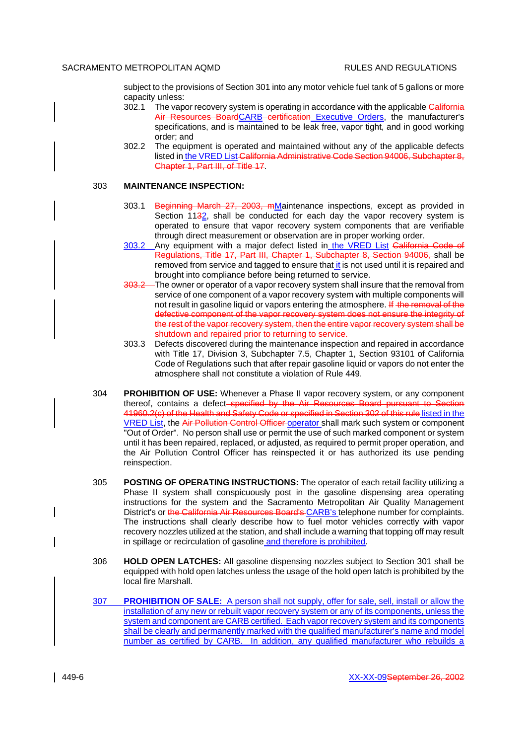subject to the provisions of Section 301 into any motor vehicle fuel tank of 5 gallons or more capacity unless:

- 302.1 The vapor recovery system is operating in accordance with the applicable California Air Resources BoardCARB certification Executive Orders, the manufacturer's specifications, and is maintained to be leak free, vapor tight, and in good working order; and
- 302.2 The equipment is operated and maintained without any of the applicable defects listed in the VRED List-California Administrative Code Section 94006, Subchapter 8, Chapter 1, Part III, of Title 17.

#### 303 **MAINTENANCE INSPECTION:**

- 303.1 Beginning March 27, 2003, mMaintenance inspections, except as provided in Section 1132, shall be conducted for each day the vapor recovery system is operated to ensure that vapor recovery system components that are verifiable through direct measurement or observation are in proper working order.
- 303.2 Any equipment with a major defect listed in the VRED List California Code of Regulations, Title 17, Part III, Chapter 1, Subchapter 8, Section 94006, shall be removed from service and tagged to ensure that it is not used until it is repaired and brought into compliance before being returned to service.
- 303.2 The owner or operator of a vapor recovery system shall insure that the removal from service of one component of a vapor recovery system with multiple components will not result in gasoline liquid or vapors entering the atmosphere. If the removal of the defective component of the vapor recovery system does not ensure the integrity of the rest of the vapor recovery system, then the entire vapor recovery system shall be shutdown and repaired prior to returning to service.
- 303.3 Defects discovered during the maintenance inspection and repaired in accordance with Title 17, Division 3, Subchapter 7.5, Chapter 1, Section 93101 of California Code of Regulations such that after repair gasoline liquid or vapors do not enter the atmosphere shall not constitute a violation of Rule 449.
- 304 **PROHIBITION OF USE:** Whenever a Phase II vapor recovery system, or any component thereof, contains a defect-specified by the Air Resources Board pursuant to Section 41960.2(c) of the Health and Safety Code or specified in Section 302 of this rule listed in the VRED List, the Air Pollution Control Officer operator shall mark such system or component "Out of Order". No person shall use or permit the use of such marked component or system until it has been repaired, replaced, or adjusted, as required to permit proper operation, and the Air Pollution Control Officer has reinspected it or has authorized its use pending reinspection.
- 305 **POSTING OF OPERATING INSTRUCTIONS:** The operator of each retail facility utilizing a Phase II system shall conspicuously post in the gasoline dispensing area operating instructions for the system and the Sacramento Metropolitan Air Quality Management District's or the California Air Resources Board's CARB's telephone number for complaints. The instructions shall clearly describe how to fuel motor vehicles correctly with vapor recovery nozzles utilized at the station, and shall include a warning that topping off may result in spillage or recirculation of gasoline and therefore is prohibited.
- 306 **HOLD OPEN LATCHES:** All gasoline dispensing nozzles subject to Section 301 shall be equipped with hold open latches unless the usage of the hold open latch is prohibited by the local fire Marshall.
- 307 **PROHIBITION OF SALE:** A person shall not supply, offer for sale, sell, install or allow the installation of any new or rebuilt vapor recovery system or any of its components, unless the system and component are CARB certified. Each vapor recovery system and its components shall be clearly and permanently marked with the qualified manufacturer's name and model number as certified by CARB. In addition, any qualified manufacturer who rebuilds a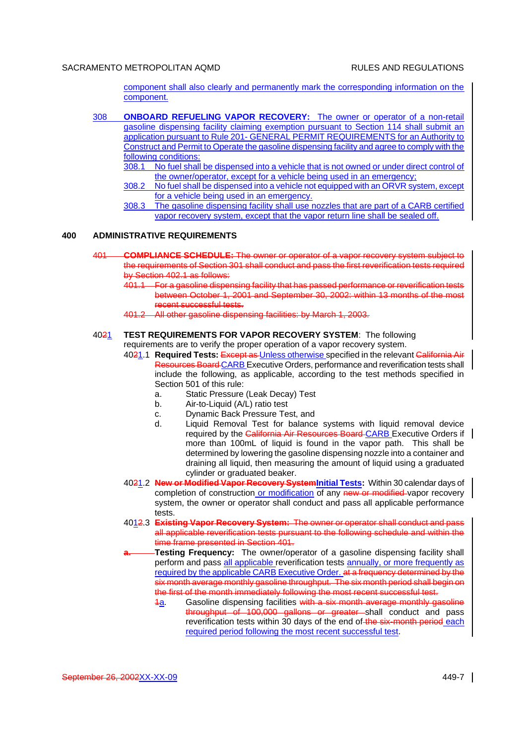component shall also clearly and permanently mark the corresponding information on the component.

- 308 **ONBOARD REFUELING VAPOR RECOVERY:** The owner or operator of a non-retail gasoline dispensing facility claiming exemption pursuant to Section 114 shall submit an application pursuant to Rule 201- GENERAL PERMIT REQUIREMENTS for an Authority to Construct and Permit to Operate the gasoline dispensing facility and agree to comply with the following conditions:
	- 308.1 No fuel shall be dispensed into a vehicle that is not owned or under direct control of the owner/operator, except for a vehicle being used in an emergency;
	- 308.2 No fuel shall be dispensed into a vehicle not equipped with an ORVR system, except for a vehicle being used in an emergency.
	- 308.3 The gasoline dispensing facility shall use nozzles that are part of a CARB certified vapor recovery system, except that the vapor return line shall be sealed off.

#### **400 ADMINISTRATIVE REQUIREMENTS**

- 401 **COMPLIANCE SCHEDULE:** The owner or operator of a vapor recovery system subject to the requirements of Section 301 shall conduct and pass the first reverification tests required by Section 402.1 as follows:
	- 401.1 For a gasoline dispensing facility that has passed performance or reverification tests between October 1, 2001 and September 30, 2002: within 13 months of the most recent successful tests.
	- 401.2 All other gasoline dispensing facilities: by March 1, 2003.

# 4021 **TEST REQUIREMENTS FOR VAPOR RECOVERY SYSTEM**: The following

requirements are to verify the proper operation of a vapor recovery system.

- 4021.1 **Required Tests:** Except as Unless otherwise specified in the relevant California Air Resources Board CARB Executive Orders, performance and reverification tests shall include the following, as applicable, according to the test methods specified in Section 501 of this rule:
	- a. Static Pressure (Leak Decay) Test
	- b. Air-to-Liquid (A/L) ratio test
	- c. Dynamic Back Pressure Test, and
	- d. Liquid Removal Test for balance systems with liquid removal device required by the California Air Resources Board CARB Executive Orders if | more than 100mL of liquid is found in the vapor path. This shall be determined by lowering the gasoline dispensing nozzle into a container and draining all liquid, then measuring the amount of liquid using a graduated cylinder or graduated beaker.
- 4021.2 **New or Modified Vapor Recovery SystemInitial Tests:** Within 30 calendar days of completion of construction or modification of any new or modified vapor recovery system, the owner or operator shall conduct and pass all applicable performance tests.
- 4012.3 **Existing Vapor Recovery System:** The owner or operator shall conduct and pass all applicable reverification tests pursuant to the following schedule and within the time frame presented in Section 401.
- **a. Testing Frequency:** The owner/operator of a gasoline dispensing facility shall perform and pass all applicable reverification tests annually, or more frequently as required by the applicable CARB Executive Order. at a frequency determined by the six month average monthly gasoline throughput. The six month period shall begin on the first of the month immediately following the most recent successful test.
	- $\frac{4a}{6}$ . Gasoline dispensing facilities with a six month average monthly gasoline throughput of 100,000 gallons or greater shall conduct and pass reverification tests within 30 days of the end of the six-month period each required period following the most recent successful test.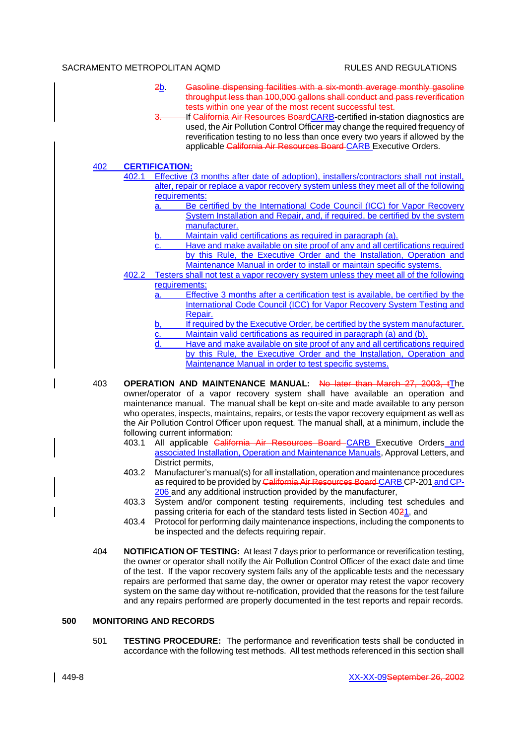- 2b. Gasoline dispensing facilities with a six-month average monthly gasoline throughput less than 100,000 gallons shall conduct and pass reverification tests within one year of the most recent successful test.
	- If California Air Resources BoardCARB-certified in-station diagnostics are used, the Air Pollution Control Officer may change the required frequency of reverification testing to no less than once every two years if allowed by the applicable California Air Resources Board-CARB Executive Orders.

#### 402 **CERTIFICATION:**

- 402.1 Effective (3 months after date of adoption), installers/contractors shall not install, alter, repair or replace a vapor recovery system unless they meet all of the following requirements:
	- a. Be certified by the International Code Council (ICC) for Vapor Recovery System Installation and Repair, and, if required, be certified by the system manufacturer.
	- Maintain valid certifications as required in paragraph (a).
	- Have and make available on site proof of any and all certifications required by this Rule, the Executive Order and the Installation, Operation and Maintenance Manual in order to install or maintain specific systems.
- 402.2 Testers shall not test a vapor recovery system unless they meet all of the following requirements:
	- a. Effective 3 months after a certification test is available, be certified by the International Code Council (ICC) for Vapor Recovery System Testing and Repair.
	- b, If required by the Executive Order, be certified by the system manufacturer.
	- c. Maintain valid certifications as required in paragraph (a) and (b).
	- d. Have and make available on site proof of any and all certifications required by this Rule, the Executive Order and the Installation, Operation and Maintenance Manual in order to test specific systems.
- 403 **OPERATION AND MAINTENANCE MANUAL:** No later than March 27, 2003, tThe owner/operator of a vapor recovery system shall have available an operation and maintenance manual. The manual shall be kept on-site and made available to any person who operates, inspects, maintains, repairs, or tests the vapor recovery equipment as well as the Air Pollution Control Officer upon request. The manual shall, at a minimum, include the following current information:
	- 403.1 All applicable California Air Resources Board CARB Executive Orders and associated Installation, Operation and Maintenance Manuals, Approval Letters, and District permits,
	- 403.2 Manufacturer's manual(s) for all installation, operation and maintenance procedures as required to be provided by California Air Resources Board CARB CP-201 and CP-206 and any additional instruction provided by the manufacturer,
	- 403.3 System and/or component testing requirements, including test schedules and passing criteria for each of the standard tests listed in Section 4021, and
	- 403.4 Protocol for performing daily maintenance inspections, including the components to be inspected and the defects requiring repair.
- 404 **NOTIFICATION OF TESTING:** At least 7 days prior to performance or reverification testing, the owner or operator shall notify the Air Pollution Control Officer of the exact date and time of the test. If the vapor recovery system fails any of the applicable tests and the necessary repairs are performed that same day, the owner or operator may retest the vapor recovery system on the same day without re-notification, provided that the reasons for the test failure and any repairs performed are properly documented in the test reports and repair records.

# **500 MONITORING AND RECORDS**

501 **TESTING PROCEDURE:** The performance and reverification tests shall be conducted in accordance with the following test methods. All test methods referenced in this section shall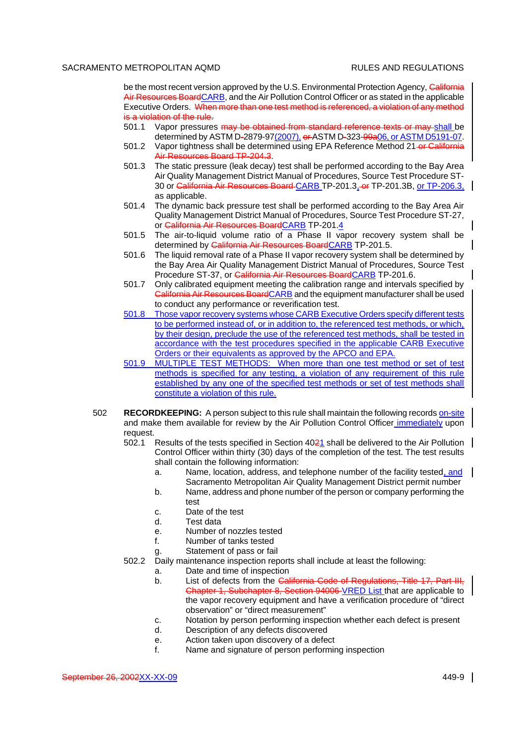be the most recent version approved by the U.S. Environmental Protection Agency, California Air Resources BoardCARB, and the Air Pollution Control Officer or as stated in the applicable Executive Orders. When more than one test method is referenced, a violation of any method is a violation of the rule.

- 501.1 Vapor pressures may be obtained from standard reference texts or may shall be determined by ASTM D-2879-97(2007), or ASTM D-323-99a06, or ASTM D5191-07.
- 501.2 Vapor tightness shall be determined using EPA Reference Method 21-or California Air Resources Board TP-204.3.
- 501.3 The static pressure (leak decay) test shall be performed according to the Bay Area Air Quality Management District Manual of Procedures, Source Test Procedure ST-30 or California Air Resources Board CARB TP-201.3, or TP-201.3B, or TP-206.3, as applicable.
- 501.4 The dynamic back pressure test shall be performed according to the Bay Area Air Quality Management District Manual of Procedures, Source Test Procedure ST-27, or California Air Resources BoardCARB TP-201.4
- 501.5 The air-to-liquid volume ratio of a Phase II vapor recovery system shall be determined by California Air Resources BoardCARB TP-201.5.
- 501.6 The liquid removal rate of a Phase II vapor recovery system shall be determined by the Bay Area Air Quality Management District Manual of Procedures, Source Test Procedure ST-37, or California Air Resources BoardCARB TP-201.6.
- 501.7 Only calibrated equipment meeting the calibration range and intervals specified by California Air Resources BoardCARB and the equipment manufacturer shall be used to conduct any performance or reverification test.
- 501.8 Those vapor recovery systems whose CARB Executive Orders specify different tests to be performed instead of, or in addition to, the referenced test methods, or which, by their design, preclude the use of the referenced test methods, shall be tested in accordance with the test procedures specified in the applicable CARB Executive Orders or their equivalents as approved by the APCO and EPA.
- 501.9 MULTIPLE TEST METHODS: When more than one test method or set of test methods is specified for any testing, a violation of any requirement of this rule established by any one of the specified test methods or set of test methods shall constitute a violation of this rule.
- 502 **RECORDKEEPING:** A person subject to this rule shall maintain the following records on-site and make them available for review by the Air Pollution Control Officer immediately upon request.
	- 502.1 Results of the tests specified in Section 4021 shall be delivered to the Air Pollution Control Officer within thirty (30) days of the completion of the test. The test results shall contain the following information:
		- a. Name, location, address, and telephone number of the facility tested, and Sacramento Metropolitan Air Quality Management District permit number
		- b. Name, address and phone number of the person or company performing the test
		- c. Date of the test
		- d. Test data
		- e. Number of nozzles tested
		- f. Number of tanks tested
		- g. Statement of pass or fail
	- 502.2 Daily maintenance inspection reports shall include at least the following:
		- a. Date and time of inspection
		- b. List of defects from the California Code of Regulations, Title 17, Part III, Chapter 1, Subchapter 8, Section 94006 VRED List that are applicable to the vapor recovery equipment and have a verification procedure of "direct observation" or "direct measurement"
		- c. Notation by person performing inspection whether each defect is present
		- d. Description of any defects discovered
		- e. Action taken upon discovery of a defect
		- f. Name and signature of person performing inspection